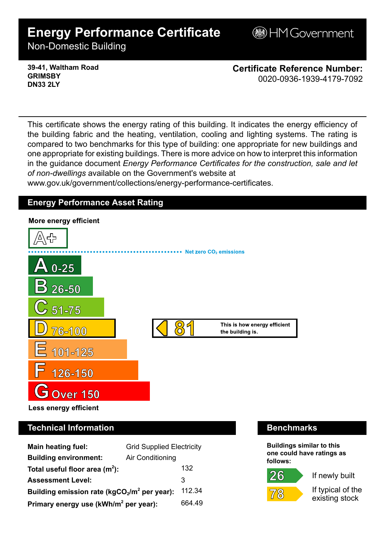# **Energy Performance Certificate**

**BHM Government** 

Non-Domestic Building

**39-41, Waltham Road GRIMSBY DN33 2LY**

**Certificate Reference Number:** 0020-0936-1939-4179-7092

This certificate shows the energy rating of this building. It indicates the energy efficiency of the building fabric and the heating, ventilation, cooling and lighting systems. The rating is compared to two benchmarks for this type of building: one appropriate for new buildings and one appropriate for existing buildings. There is more advice on how to interpret this information in the guidance document *Energy Performance Certificates for the construction, sale and let of non-dwellings* available on the Government's website at

www.gov.uk/government/collections/energy-performance-certificates.

## **Energy Performance Asset Rating**



# **Technical Information Benchmarks**

| <b>Main heating fuel:</b>                         | <b>Grid Supplied Electricity</b> |        |
|---------------------------------------------------|----------------------------------|--------|
| <b>Building environment:</b>                      | Air Conditioning                 |        |
| Total useful floor area $(m2)$ :                  |                                  | 132    |
| <b>Assessment Level:</b>                          |                                  | 3      |
| Building emission rate ( $kgCO2/m2$ per year):    |                                  | 112.34 |
| Primary energy use (kWh/m <sup>2</sup> per year): |                                  | 664 49 |

**Buildings similar to this one could have ratings as follows:**

 $26$ 

 $7'$ (8)



If typical of the existing stock